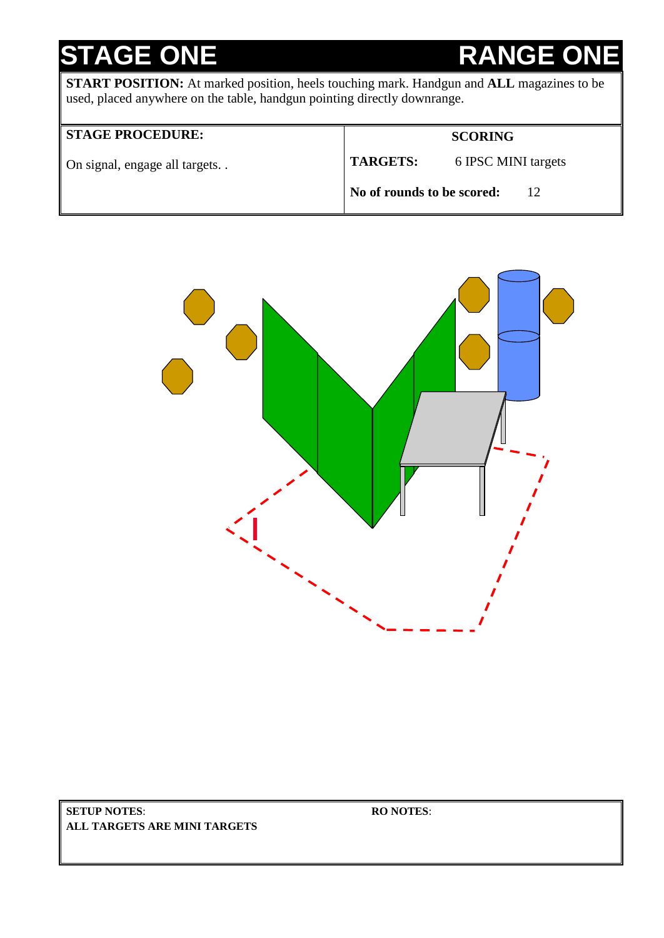# **STAGE ONE RANGE**

**START POSITION:** At marked position, heels touching mark. Handgun and **ALL** magazines to be used, placed anywhere on the table, handgun pointing directly downrange.

## **STAGE PROCEDURE:**

**SCORING**

On signal, engage all targets. .

**TARGETS:** 6 IPSC MINI targets

**No of rounds to be scored:** 12



**SETUP NOTES**: **ALL TARGETS ARE MINI TARGETS**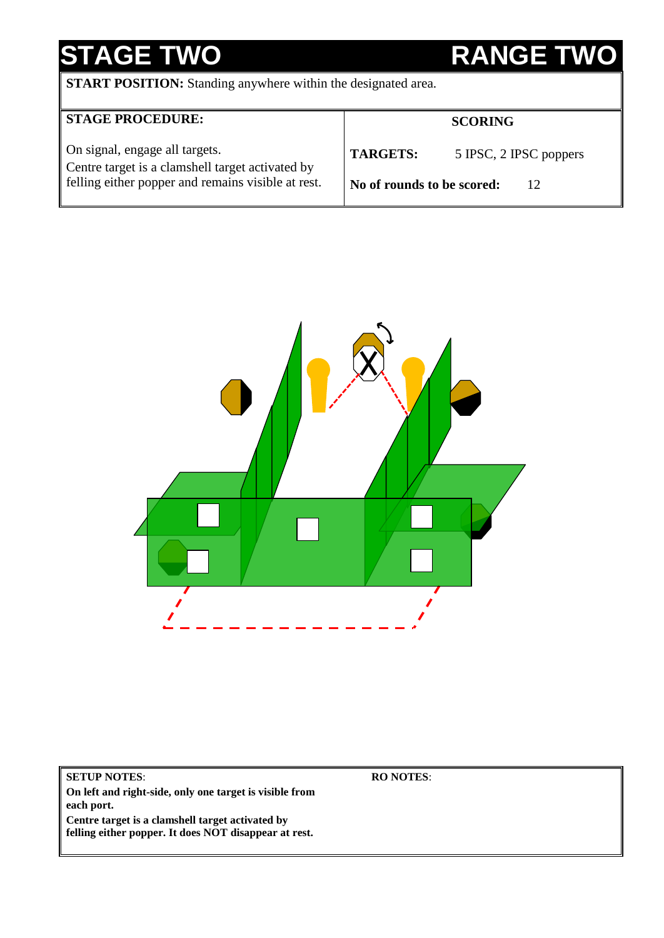# **STAGE TWO RANGE TWO**

**START POSITION:** Standing anywhere within the designated area.

| <b>STAGE PROCEDURE:</b>                                                                                                                  |                            | <b>SCORING</b>         |
|------------------------------------------------------------------------------------------------------------------------------------------|----------------------------|------------------------|
| On signal, engage all targets.<br>Centre target is a clamshell target activated by<br>felling either popper and remains visible at rest. | <b>TARGETS:</b>            | 5 IPSC, 2 IPSC poppers |
|                                                                                                                                          | No of rounds to be scored: | 12                     |



**SETUP NOTES**: **On left and right-side, only one target is visible from each port. Centre target is a clamshell target activated by felling either popper. It does NOT disappear at rest.**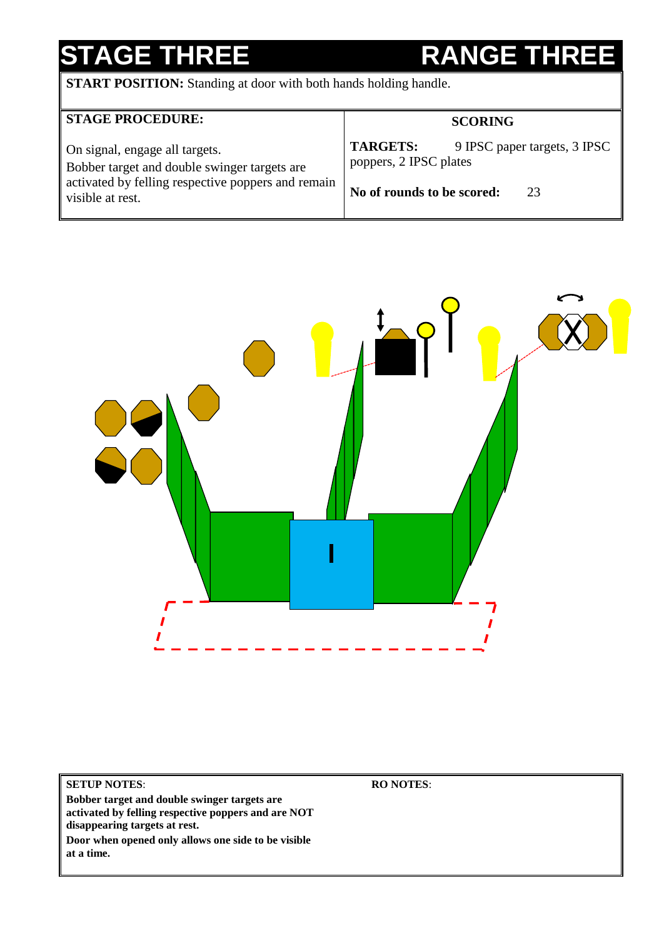# **STAGE THREE RANGE THR**

**START POSITION:** Standing at door with both hands holding handle.

| <b>STAGE PROCEDURE:</b>                                                                                                                                  | <b>SCORING</b>                                                                                                |
|----------------------------------------------------------------------------------------------------------------------------------------------------------|---------------------------------------------------------------------------------------------------------------|
| On signal, engage all targets.<br>Bobber target and double swinger targets are<br>activated by felling respective poppers and remain<br>visible at rest. | <b>TARGETS:</b><br>9 IPSC paper targets, 3 IPSC<br>poppers, 2 IPSC plates<br>No of rounds to be scored:<br>23 |



## **SETUP NOTES**:

**Bobber target and double swinger targets are activated by felling respective poppers and are NOT disappearing targets at rest.** 

**Door when opened only allows one side to be visible at a time.**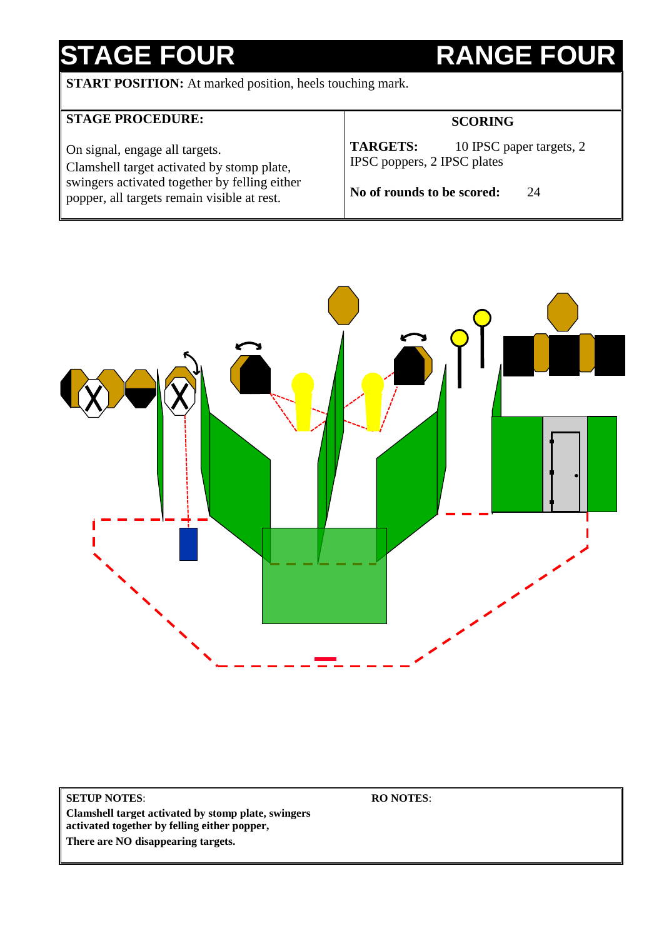# **STAGE FOUR RANGE FOUR**

**START POSITION:** At marked position, heels touching mark.

| <b>STAGE PROCEDURE:</b>                                                                                                                                                      | <b>SCORING</b>                                                                                                 |  |
|------------------------------------------------------------------------------------------------------------------------------------------------------------------------------|----------------------------------------------------------------------------------------------------------------|--|
| On signal, engage all targets.<br>Clamshell target activated by stomp plate,<br>swingers activated together by felling either<br>popper, all targets remain visible at rest. | <b>TARGETS:</b><br>10 IPSC paper targets, 2<br>IPSC poppers, 2 IPSC plates<br>No of rounds to be scored:<br>24 |  |



**SETUP NOTES**: **Clamshell target activated by stomp plate, swingers activated together by felling either popper,** 

**RO NOTES**:

**There are NO disappearing targets.**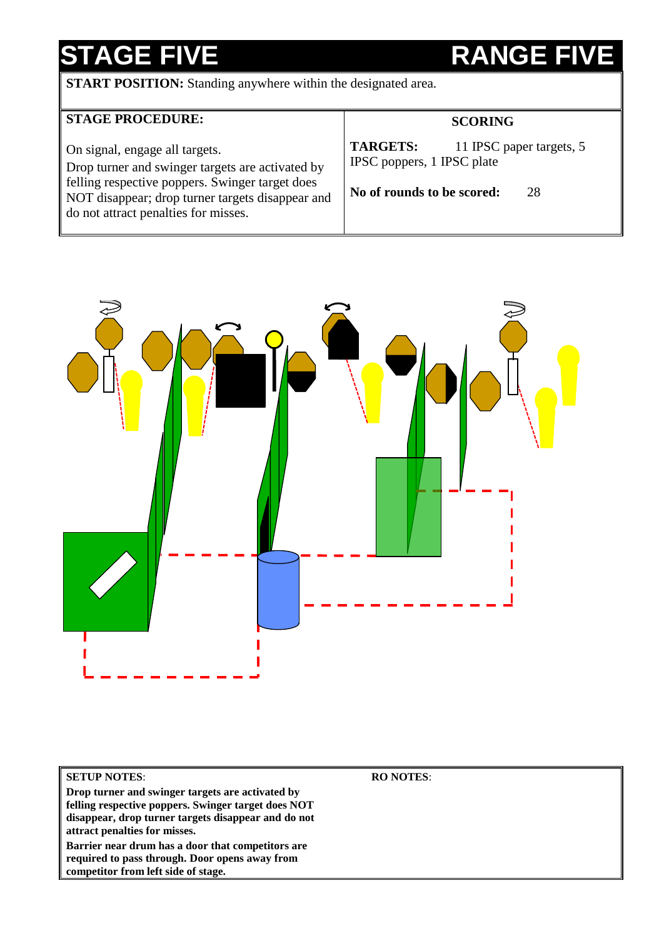# **STAGE FIVE RANGE FIVE**

**START POSITION:** Standing anywhere within the designated area.

| <b>STAGE PROCEDURE:</b>                                                                                                                                                                                                           | <b>SCORING</b>                                                                                                |  |
|-----------------------------------------------------------------------------------------------------------------------------------------------------------------------------------------------------------------------------------|---------------------------------------------------------------------------------------------------------------|--|
| On signal, engage all targets.<br>Drop turner and swinger targets are activated by<br>felling respective poppers. Swinger target does<br>NOT disappear; drop turner targets disappear and<br>do not attract penalties for misses. | <b>TARGETS:</b><br>11 IPSC paper targets, 5<br>IPSC poppers, 1 IPSC plate<br>No of rounds to be scored:<br>28 |  |



## **SETUP NOTES**:

**Drop turner and swinger targets are activated by felling respective poppers. Swinger target does NOT disappear, drop turner targets disappear and do not attract penalties for misses. Barrier near drum has a door that competitors are required to pass through. Door opens away from** 

**competitor from left side of stage.**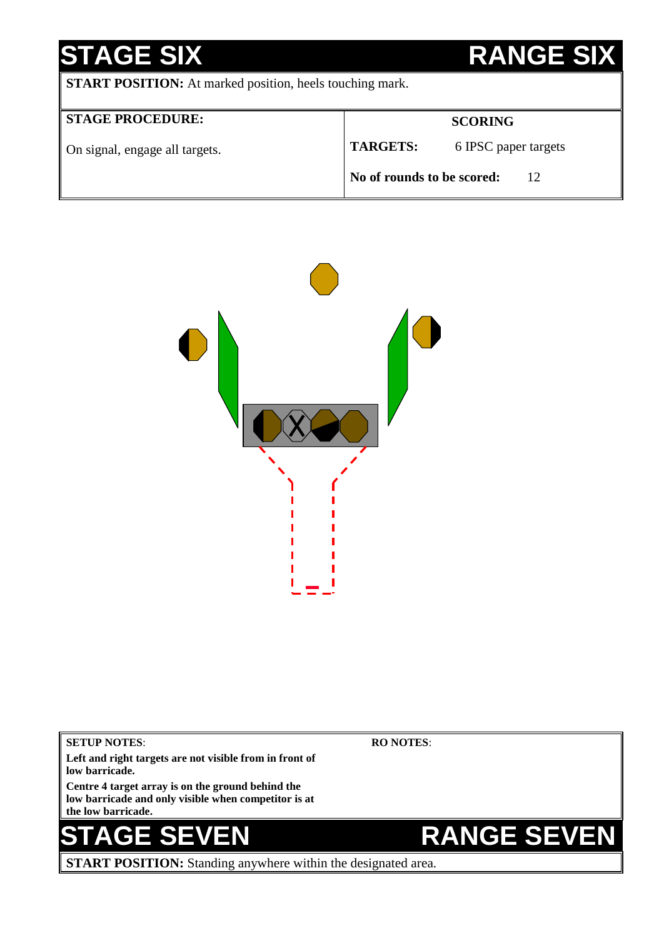## **STAGE SIX BETAGE SIX START POSITION:** At marked position, heels touching mark. **STAGE PROCEDURE:** On signal, engage all targets. **SCORING TARGETS:** 6 IPSC paper targets **No of rounds to be scored:** 12



**SETUP NOTES**: **Left and right targets are not visible from in front of low barricade. Centre 4 target array is on the ground behind the low barricade and only visible when competitor is at the low barricade. RO NOTES**: **E SEVEN RANGE SEVEN START POSITION:** Standing anywhere within the designated area.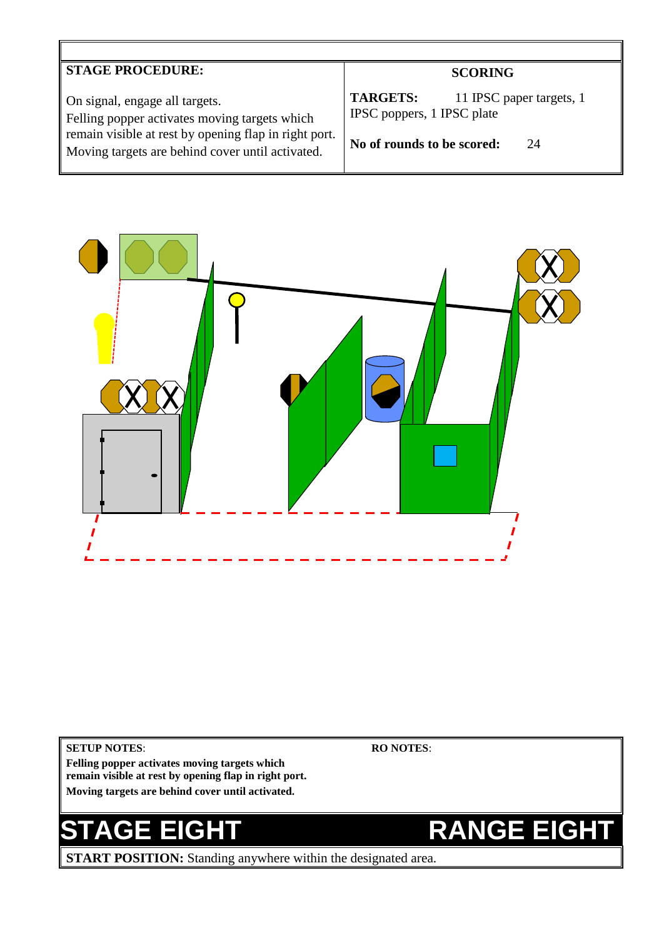## **STAGE PROCEDURE:**

On signal, engage all targets. Felling popper activates moving targets which remain visible at rest by opening flap in right port. Moving targets are behind cover until activated.

## **SCORING**

TARGETS: 11 IPSC paper targets, 1 IPSC poppers, 1 IPSC plate

**No of rounds to be scored:** 24



### **SETUP NOTES**:

**Felling popper activates moving targets which remain visible at rest by opening flap in right port. Moving targets are behind cover until activated.**

**START POSITION:** Standing anywhere within the designated area.

## **RO NOTES**:

## **STAGE EIGHT RANGE EIGHT**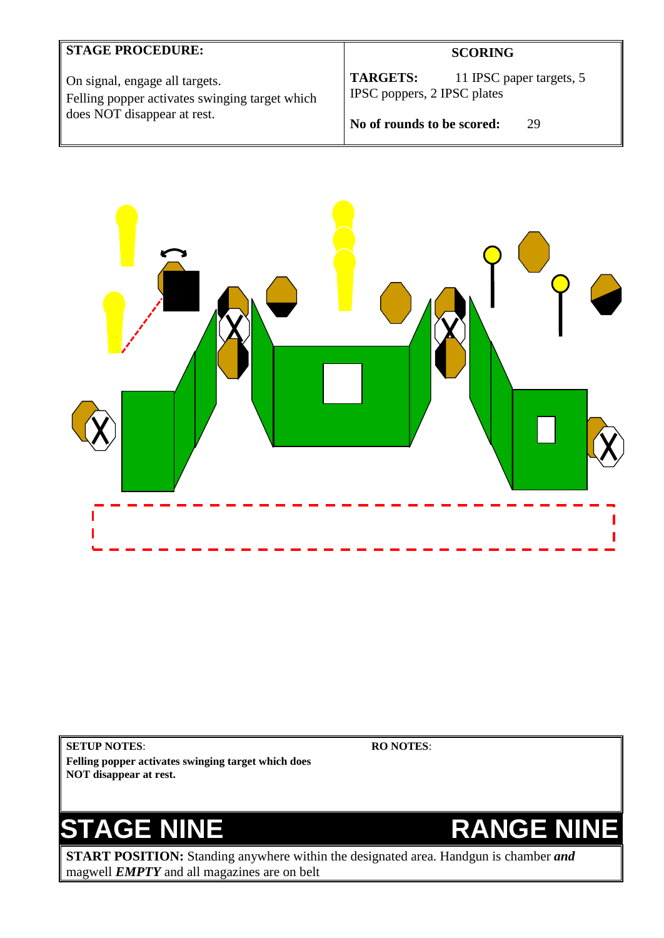## **STAGE PROCEDURE:**

On signal, engage all targets. Felling popper activates swinging target which does NOT disappear at rest.

## **SCORING**

**TARGETS:** 11 IPSC paper targets, 5 IPSC poppers, 2 IPSC plates

**No of rounds to be scored:** 29



**SETUP NOTES**: **Felling popper activates swinging target which does NOT disappear at rest.**

**RO NOTES**:



**START POSITION:** Standing anywhere within the designated area. Handgun is chamber *and* magwell *EMPTY* and all magazines are on belt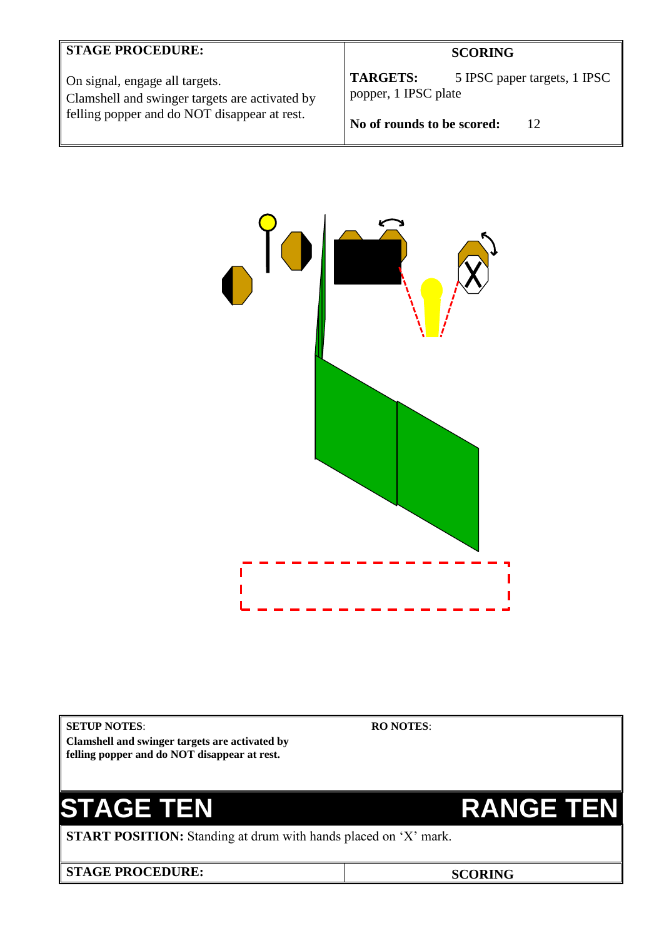## **STAGE PROCEDURE:**

On signal, engage all targets. Clamshell and swinger targets are activated by felling popper and do NOT disappear at rest.

## **SCORING**

**TARGETS:** 5 IPSC paper targets, 1 IPSC popper, 1 IPSC plate

**No of rounds to be scored:** 12



**SETUP NOTES**:

**Clamshell and swinger targets are activated by felling popper and do NOT disappear at rest.**

# **STAGE TEN RANGE TEN**

**START POSITION:** Standing at drum with hands placed on 'X' mark.

**STAGE PROCEDURE: SCORING**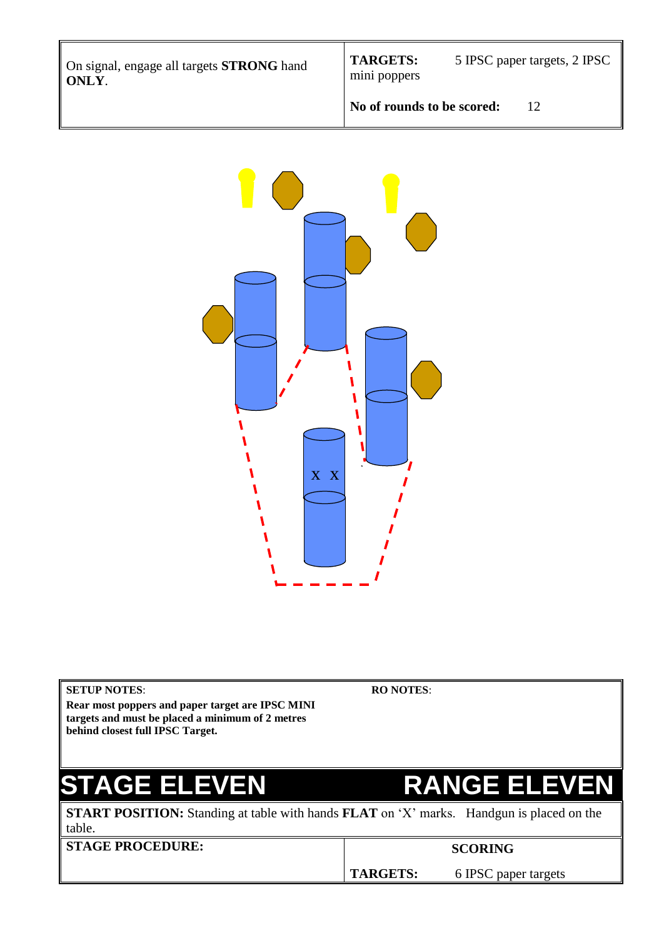On signal, engage all targets **STRONG** hand **ONLY**.

mini poppers

**TARGETS:** 5 IPSC paper targets, 2 IPSC

**No of rounds to be scored:** 12



**Rear most poppers and paper target are IPSC MINI targets and must be placed a minimum of 2 metres behind closest full IPSC Target.**

**RO NOTES**:

## **STAGE ELEVEN RANGE ELEVEN**

**START POSITION:** Standing at table with hands **FLAT** on 'X' marks. Handgun is placed on the table.

**STAGE PROCEDURE:** SCORING

**TARGETS:** 6 IPSC paper targets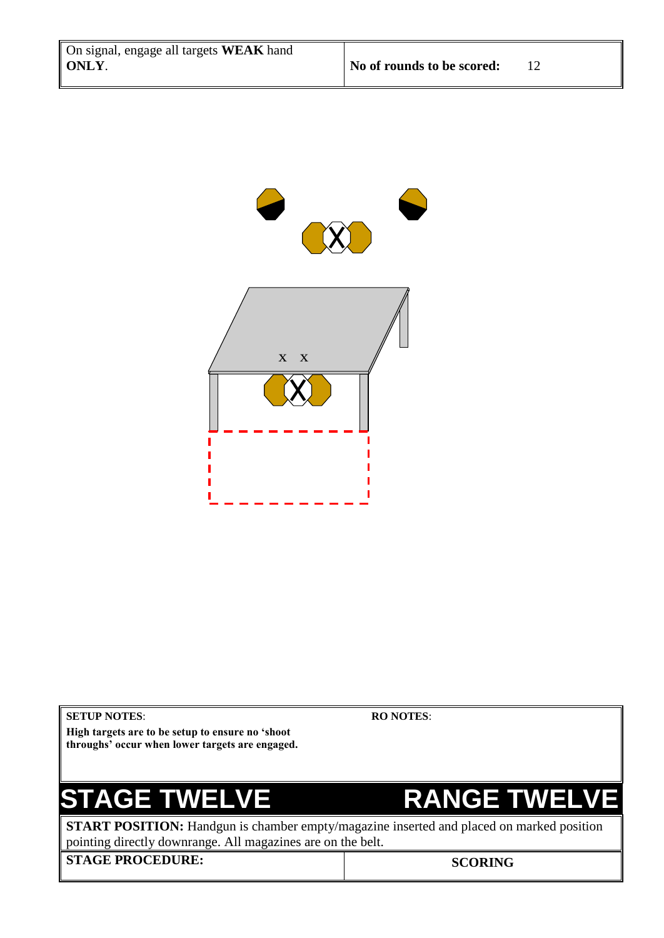

## **SETUP NOTES**:

**RO NOTES**:

**High targets are to be setup to ensure no 'shoot throughs' occur when lower targets are engaged.**

**STAGE TWELVE FRANGE TWELVE** 

**START POSITION:** Handgun is chamber empty/magazine inserted and placed on marked position pointing directly downrange. All magazines are on the belt.

**STAGE PROCEDURE:** SCORING